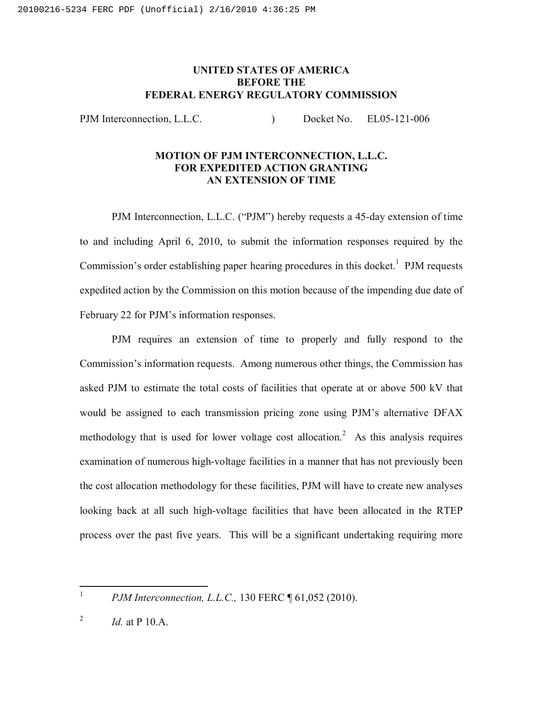## **UNITED STATES OF AMERICA BEFORE THE FEDERAL ENERGY REGULATORY COMMISSION**

PJM Interconnection, L.L.C.  $\qquad \qquad$  Docket No. EL05-121-006

## **MOTION OF PJM INTERCONNECTION, L.L.C. FOR EXPEDITED ACTION GRANTING AN EXTENSION OF TIME**

PJM Interconnection, L.L.C. ("PJM") hereby requests a 45-day extension of time to and including April 6, 2010, to submit the information responses required by the Commission's order establishing paper hearing procedures in this docket.<sup>1</sup> PJM requests expedited action by the Commission on this motion because of the impending due date of February 22 for PJM's information responses.

PJM requires an extension of time to properly and fully respond to the Commission's information requests. Among numerous other things, the Commission has asked PJM to estimate the total costs of facilities that operate at or above 500 kV that would be assigned to each transmission pricing zone using PJM's alternative DFAX methodology that is used for lower voltage cost allocation.<sup>2</sup> As this analysis requires examination of numerous high-voltage facilities in a manner that has not previously been the cost allocation methodology for these facilities, PJM will have to create new analyses looking back at all such high-voltage facilities that have been allocated in the RTEP process over the past five years. This will be a significant undertaking requiring more

 $\frac{1}{1}$ 

*PJM Interconnection, L.L.C.,* 130 FERC ¶ 61,052 (2010).

<sup>2</sup> *Id.* at P 10.A.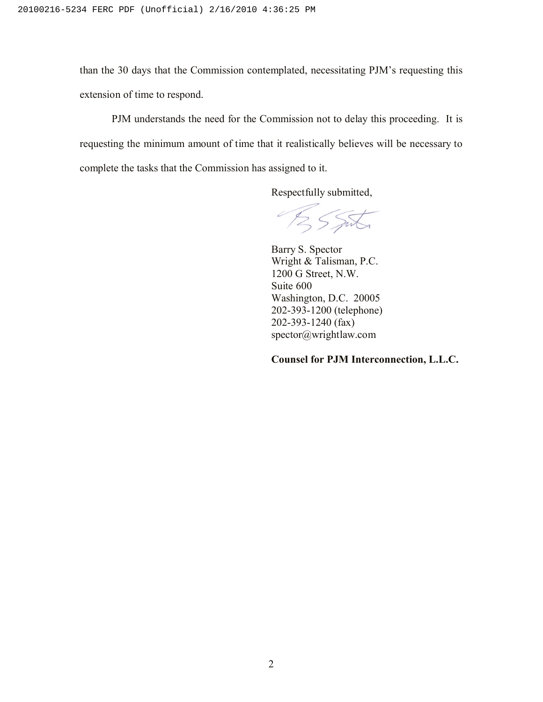than the 30 days that the Commission contemplated, necessitating PJM's requesting this extension of time to respond.

PJM understands the need for the Commission not to delay this proceeding. It is requesting the minimum amount of time that it realistically believes will be necessary to complete the tasks that the Commission has assigned to it.

Respectfully submitted,

BSSIL

Barry S. Spector Wright & Talisman, P.C. 1200 G Street, N.W. Suite 600 Washington, D.C. 20005 202-393-1200 (telephone) 202-393-1240 (fax) spector@wrightlaw.com

## **Counsel for PJM Interconnection, L.L.C.**